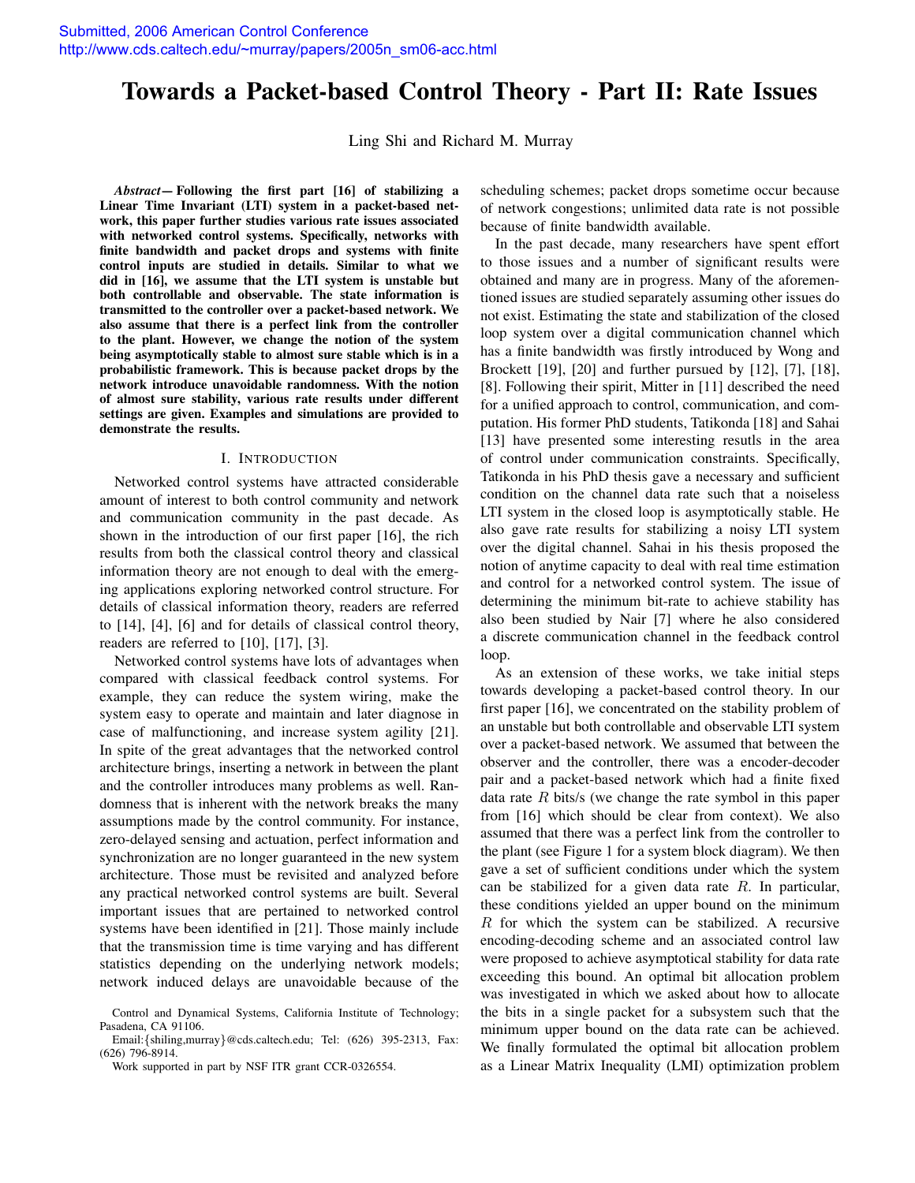# **Towards a Packet-based Control Theory - Part II: Rate Issues**

Ling Shi and Richard M. Murray

*Abstract***— Following the first part [16] of stabilizing a Linear Time Invariant (LTI) system in a packet-based network, this paper further studies various rate issues associated with networked control systems. Specifically, networks with finite bandwidth and packet drops and systems with finite control inputs are studied in details. Similar to what we did in [16], we assume that the LTI system is unstable but both controllable and observable. The state information is transmitted to the controller over a packet-based network. We also assume that there is a perfect link from the controller to the plant. However, we change the notion of the system being asymptotically stable to almost sure stable which is in a probabilistic framework. This is because packet drops by the network introduce unavoidable randomness. With the notion of almost sure stability, various rate results under different settings are given. Examples and simulations are provided to demonstrate the results.**

# I. INTRODUCTION

Networked control systems have attracted considerable amount of interest to both control community and network and communication community in the past decade. As shown in the introduction of our first paper [16], the rich results from both the classical control theory and classical information theory are not enough to deal with the emerging applications exploring networked control structure. For details of classical information theory, readers are referred to [14], [4], [6] and for details of classical control theory, readers are referred to [10], [17], [3].

Networked control systems have lots of advantages when compared with classical feedback control systems. For example, they can reduce the system wiring, make the system easy to operate and maintain and later diagnose in case of malfunctioning, and increase system agility [21]. In spite of the great advantages that the networked control architecture brings, inserting a network in between the plant and the controller introduces many problems as well. Randomness that is inherent with the network breaks the many assumptions made by the control community. For instance, zero-delayed sensing and actuation, perfect information and synchronization are no longer guaranteed in the new system architecture. Those must be revisited and analyzed before any practical networked control systems are built. Several important issues that are pertained to networked control systems have been identified in [21]. Those mainly include that the transmission time is time varying and has different statistics depending on the underlying network models; network induced delays are unavoidable because of the

scheduling schemes; packet drops sometime occur because of network congestions; unlimited data rate is not possible because of finite bandwidth available.

In the past decade, many researchers have spent effort to those issues and a number of significant results were obtained and many are in progress. Many of the aforementioned issues are studied separately assuming other issues do not exist. Estimating the state and stabilization of the closed loop system over a digital communication channel which has a finite bandwidth was firstly introduced by Wong and Brockett [19], [20] and further pursued by [12], [7], [18], [8]. Following their spirit, Mitter in [11] described the need for a unified approach to control, communication, and computation. His former PhD students, Tatikonda [18] and Sahai [13] have presented some interesting resutls in the area of control under communication constraints. Specifically, Tatikonda in his PhD thesis gave a necessary and sufficient condition on the channel data rate such that a noiseless LTI system in the closed loop is asymptotically stable. He also gave rate results for stabilizing a noisy LTI system over the digital channel. Sahai in his thesis proposed the notion of anytime capacity to deal with real time estimation and control for a networked control system. The issue of determining the minimum bit-rate to achieve stability has also been studied by Nair [7] where he also considered a discrete communication channel in the feedback control loop.

As an extension of these works, we take initial steps towards developing a packet-based control theory. In our first paper [16], we concentrated on the stability problem of an unstable but both controllable and observable LTI system over a packet-based network. We assumed that between the observer and the controller, there was a encoder-decoder pair and a packet-based network which had a finite fixed data rate  $R$  bits/s (we change the rate symbol in this paper from [16] which should be clear from context). We also assumed that there was a perfect link from the controller to the plant (see Figure 1 for a system block diagram). We then gave a set of sufficient conditions under which the system can be stabilized for a given data rate R. In particular, these conditions yielded an upper bound on the minimum  $R$  for which the system can be stabilized. A recursive encoding-decoding scheme and an associated control law were proposed to achieve asymptotical stability for data rate exceeding this bound. An optimal bit allocation problem was investigated in which we asked about how to allocate the bits in a single packet for a subsystem such that the minimum upper bound on the data rate can be achieved. We finally formulated the optimal bit allocation problem as a Linear Matrix Inequality (LMI) optimization problem

Control and Dynamical Systems, California Institute of Technology; Pasadena, CA 91106.

Email:{shiling,murray}@cds.caltech.edu; Tel: (626) 395-2313, Fax: (626) 796-8914.

Work supported in part by NSF ITR grant CCR-0326554.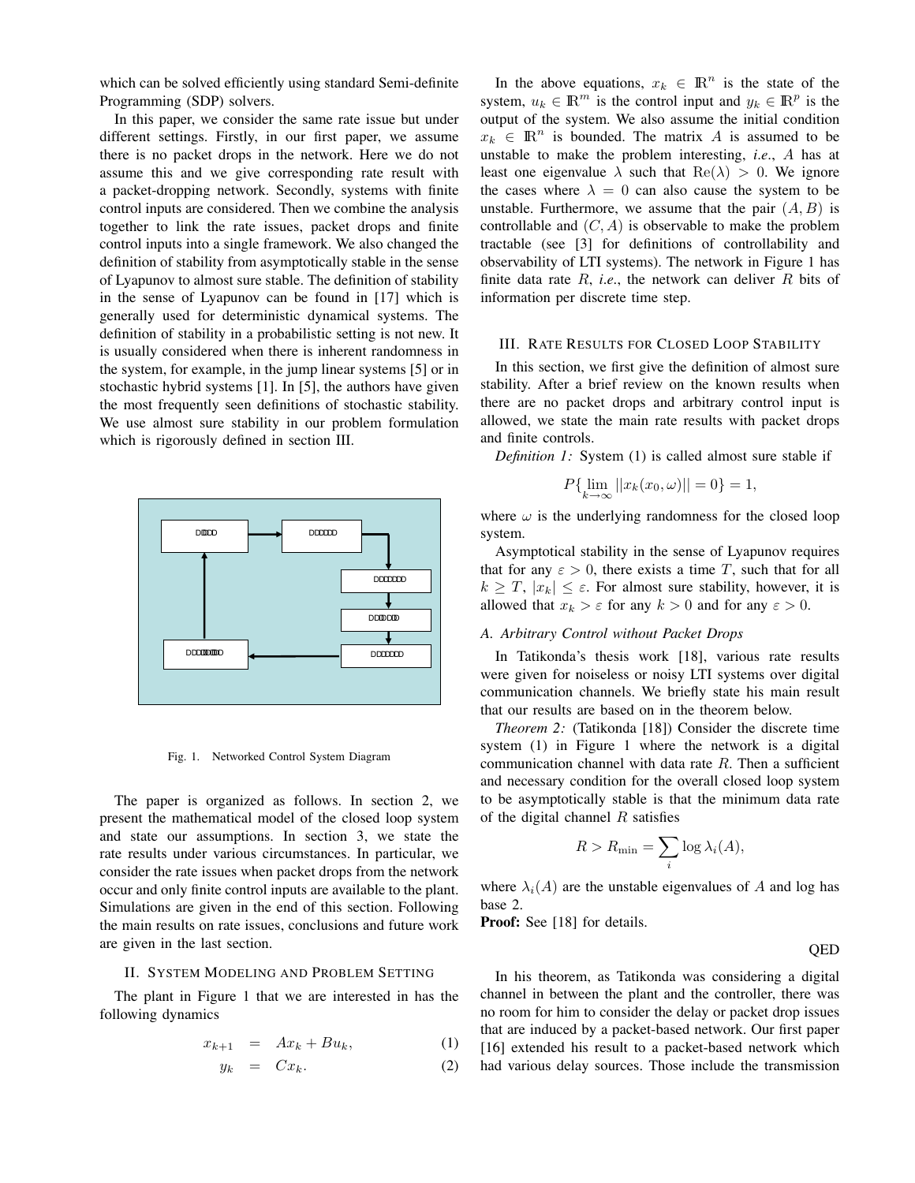which can be solved efficiently using standard Semi-definite Programming (SDP) solvers.

In this paper, we consider the same rate issue but under different settings. Firstly, in our first paper, we assume there is no packet drops in the network. Here we do not assume this and we give corresponding rate result with a packet-dropping network. Secondly, systems with finite control inputs are considered. Then we combine the analysis together to link the rate issues, packet drops and finite control inputs into a single framework. We also changed the definition of stability from asymptotically stable in the sense of Lyapunov to almost sure stable. The definition of stability in the sense of Lyapunov can be found in [17] which is generally used for deterministic dynamical systems. The definition of stability in a probabilistic setting is not new. It is usually considered when there is inherent randomness in the system, for example, in the jump linear systems [5] or in stochastic hybrid systems [1]. In [5], the authors have given the most frequently seen definitions of stochastic stability. We use almost sure stability in our problem formulation which is rigorously defined in section III.



Fig. 1. Networked Control System Diagram

The paper is organized as follows. In section 2, we present the mathematical model of the closed loop system and state our assumptions. In section 3, we state the rate results under various circumstances. In particular, we consider the rate issues when packet drops from the network occur and only finite control inputs are available to the plant. Simulations are given in the end of this section. Following the main results on rate issues, conclusions and future work are given in the last section.

#### II. SYSTEM MODELING AND PROBLEM SETTING

The plant in Figure 1 that we are interested in has the following dynamics

$$
x_{k+1} = Ax_k + Bu_k, \tag{1}
$$

$$
y_k = C x_k. \t\t(2)
$$

In the above equations,  $x_k \in \mathbb{R}^n$  is the state of the system,  $u_k \in \mathbb{R}^m$  is the control input and  $y_k \in \mathbb{R}^p$  is the output of the system. We also assume the initial condition  $x_k \in \mathbb{R}^n$  is bounded. The matrix A is assumed to be unstable to make the problem interesting, *i.e.*, A has at least one eigenvalue  $\lambda$  such that  $\text{Re}(\lambda) > 0$ . We ignore the cases where  $\lambda = 0$  can also cause the system to be unstable. Furthermore, we assume that the pair  $(A, B)$  is controllable and  $(C, A)$  is observable to make the problem tractable (see [3] for definitions of controllability and observability of LTI systems). The network in Figure 1 has finite data rate  $R$ , *i.e.*, the network can deliver  $R$  bits of information per discrete time step.

# III. RATE RESULTS FOR CLOSED LOOP STABILITY

In this section, we first give the definition of almost sure stability. After a brief review on the known results when there are no packet drops and arbitrary control input is allowed, we state the main rate results with packet drops and finite controls.

*Definition 1:* System (1) is called almost sure stable if

$$
P\{\lim_{k \to \infty} ||x_k(x_0, \omega)|| = 0\} = 1,
$$

where  $\omega$  is the underlying randomness for the closed loop system.

Asymptotical stability in the sense of Lyapunov requires that for any  $\varepsilon > 0$ , there exists a time T, such that for all  $k \geq T$ ,  $|x_k| \leq \varepsilon$ . For almost sure stability, however, it is allowed that  $x_k > \varepsilon$  for any  $k > 0$  and for any  $\varepsilon > 0$ .

# *A. Arbitrary Control without Packet Drops*

In Tatikonda's thesis work [18], various rate results were given for noiseless or noisy LTI systems over digital communication channels. We briefly state his main result that our results are based on in the theorem below.

*Theorem 2:* (Tatikonda [18]) Consider the discrete time system (1) in Figure 1 where the network is a digital communication channel with data rate  $R$ . Then a sufficient and necessary condition for the overall closed loop system to be asymptotically stable is that the minimum data rate of the digital channel  $R$  satisfies

$$
R > R_{\min} = \sum_{i} \log \lambda_i(A),
$$

where  $\lambda_i(A)$  are the unstable eigenvalues of A and log has base 2.

**Proof:** See [18] for details.

QED

In his theorem, as Tatikonda was considering a digital channel in between the plant and the controller, there was no room for him to consider the delay or packet drop issues that are induced by a packet-based network. Our first paper [16] extended his result to a packet-based network which had various delay sources. Those include the transmission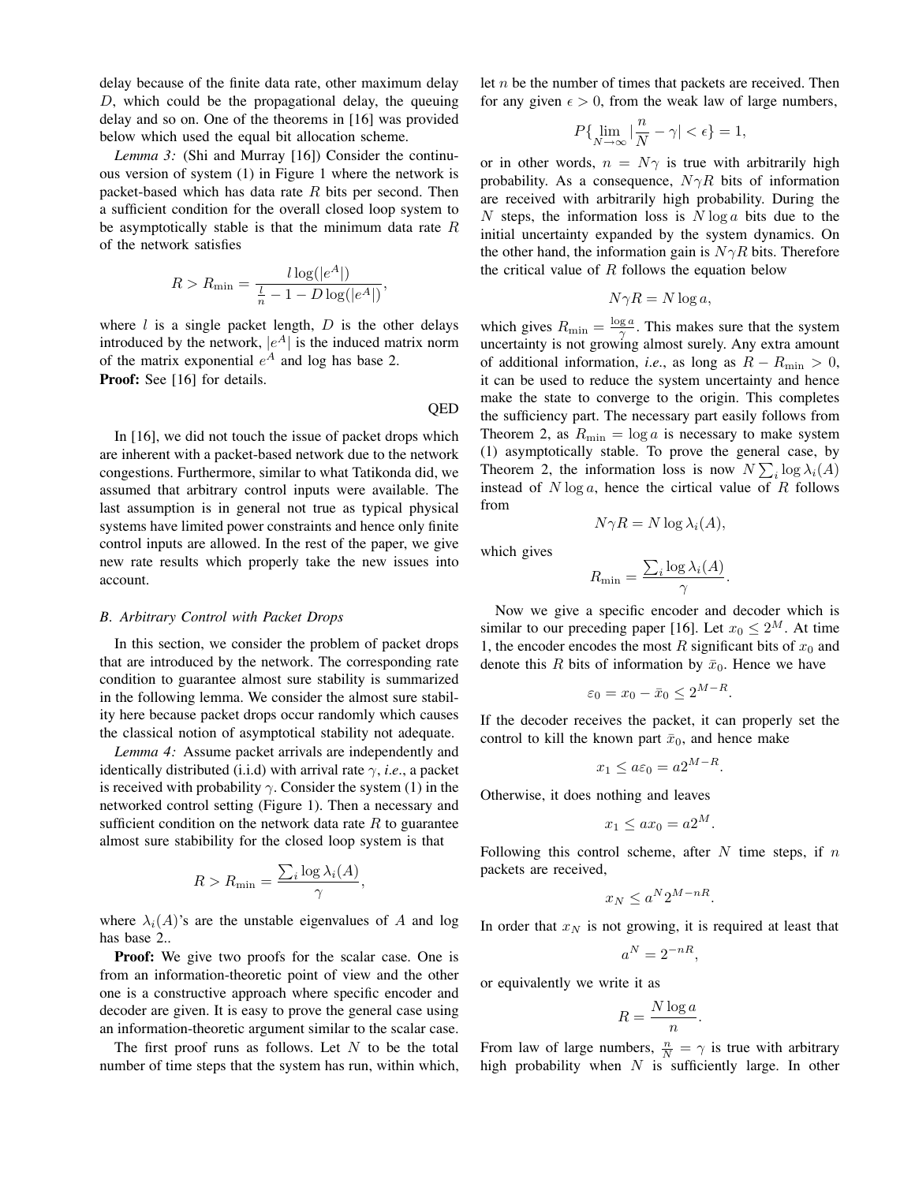delay because of the finite data rate, other maximum delay  $D$ , which could be the propagational delay, the queuing delay and so on. One of the theorems in [16] was provided below which used the equal bit allocation scheme.

*Lemma 3:* (Shi and Murray [16]) Consider the continuous version of system (1) in Figure 1 where the network is packet-based which has data rate  $R$  bits per second. Then a sufficient condition for the overall closed loop system to be asymptotically stable is that the minimum data rate  $R$ of the network satisfies

$$
R > R_{\min} = \frac{l \log(|e^A|)}{\frac{l}{n} - 1 - D \log(|e^A|)},
$$

where  $l$  is a single packet length,  $D$  is the other delays introduced by the network,  $|e^A|$  is the induced matrix norm of the matrix exponential  $e^A$  and log has base 2. **Proof:** See [16] for details.

In [16], we did not touch the issue of packet drops which are inherent with a packet-based network due to the network congestions. Furthermore, similar to what Tatikonda did, we assumed that arbitrary control inputs were available. The last assumption is in general not true as typical physical systems have limited power constraints and hence only finite control inputs are allowed. In the rest of the paper, we give new rate results which properly take the new issues into account.

#### *B. Arbitrary Control with Packet Drops*

In this section, we consider the problem of packet drops that are introduced by the network. The corresponding rate condition to guarantee almost sure stability is summarized in the following lemma. We consider the almost sure stability here because packet drops occur randomly which causes the classical notion of asymptotical stability not adequate.

*Lemma 4:* Assume packet arrivals are independently and identically distributed (i.i.d) with arrival rate  $\gamma$ , *i.e.*, a packet is received with probability  $\gamma$ . Consider the system (1) in the networked control setting (Figure 1). Then a necessary and sufficient condition on the network data rate  $R$  to guarantee almost sure stabibility for the closed loop system is that

$$
R > R_{\min} = \frac{\sum_{i} \log \lambda_i(A)}{\gamma},
$$

where  $\lambda_i(A)$ 's are the unstable eigenvalues of A and log has base 2..

**Proof:** We give two proofs for the scalar case. One is from an information-theoretic point of view and the other one is a constructive approach where specific encoder and decoder are given. It is easy to prove the general case using an information-theoretic argument similar to the scalar case.

The first proof runs as follows. Let  $N$  to be the total number of time steps that the system has run, within which, let n be the number of times that packets are received. Then for any given  $\epsilon > 0$ , from the weak law of large numbers,

$$
P\{\lim_{N\to\infty}|\frac{n}{N}-\gamma|<\epsilon\}=1,
$$

or in other words,  $n = N\gamma$  is true with arbitrarily high probability. As a consequence,  $N\gamma R$  bits of information are received with arbitrarily high probability. During the N steps, the information loss is  $N \log a$  bits due to the initial uncertainty expanded by the system dynamics. On the other hand, the information gain is  $N\gamma R$  bits. Therefore the critical value of  $R$  follows the equation below

$$
N\gamma R = N\log a,
$$

which gives  $R_{\text{min}} = \frac{\log a}{\gamma}$ . This makes sure that the system<br>uncertainty is not growing almost surely. Any extra amount uncertainty is not growing almost surely. Any extra amount of additional information, *i.e.*, as long as  $R - R_{\text{min}} > 0$ , it can be used to reduce the system uncertainty and hence make the state to converge to the origin. This completes the sufficiency part. The necessary part easily follows from Theorem 2, as  $R_{\text{min}} = \log a$  is necessary to make system (1) asymptotically stable. To prove the general case, by Theorem 2, the information loss is now  $N \sum_i \log \lambda_i(A)$ <br>instead of  $N \log a$ , hence the cirtical value of R follows instead of  $N \log a$ , hence the cirtical value of  $R$  follows from

$$
N\gamma R = N\log \lambda_i(A),
$$

which gives

QED

$$
R_{\min} = \frac{\sum_{i} \log \lambda_i(A)}{\gamma}.
$$

Now we give a specific encoder and decoder which is similar to our preceding paper [16]. Let  $x_0 \leq 2^M$ . At time 1, the encoder encodes the most R significant bits of  $x_0$  and denote this R bits of information by  $\bar{x}_0$ . Hence we have

$$
\varepsilon_0 = x_0 - \bar{x}_0 \le 2^{M-R}.
$$

If the decoder receives the packet, it can properly set the control to kill the known part  $\bar{x}_0$ , and hence make

$$
x_1 \le a\varepsilon_0 = a2^{M-R}.
$$

Otherwise, it does nothing and leaves

$$
x_1 \le ax_0 = a2^M.
$$

Following this control scheme, after  $N$  time steps, if  $n$ packets are received,

$$
x_N \le a^N 2^{M-nR}.
$$

In order that  $x_N$  is not growing, it is required at least that

$$
a^N = 2^{-nR},
$$

or equivalently we write it as

$$
R = \frac{N \log a}{n}.
$$

From law of large numbers,  $\frac{n}{N} = \gamma$  is true with arbitrary<br>high probability when N is sufficiently large. In other high probability when  $N$  is sufficiently large. In other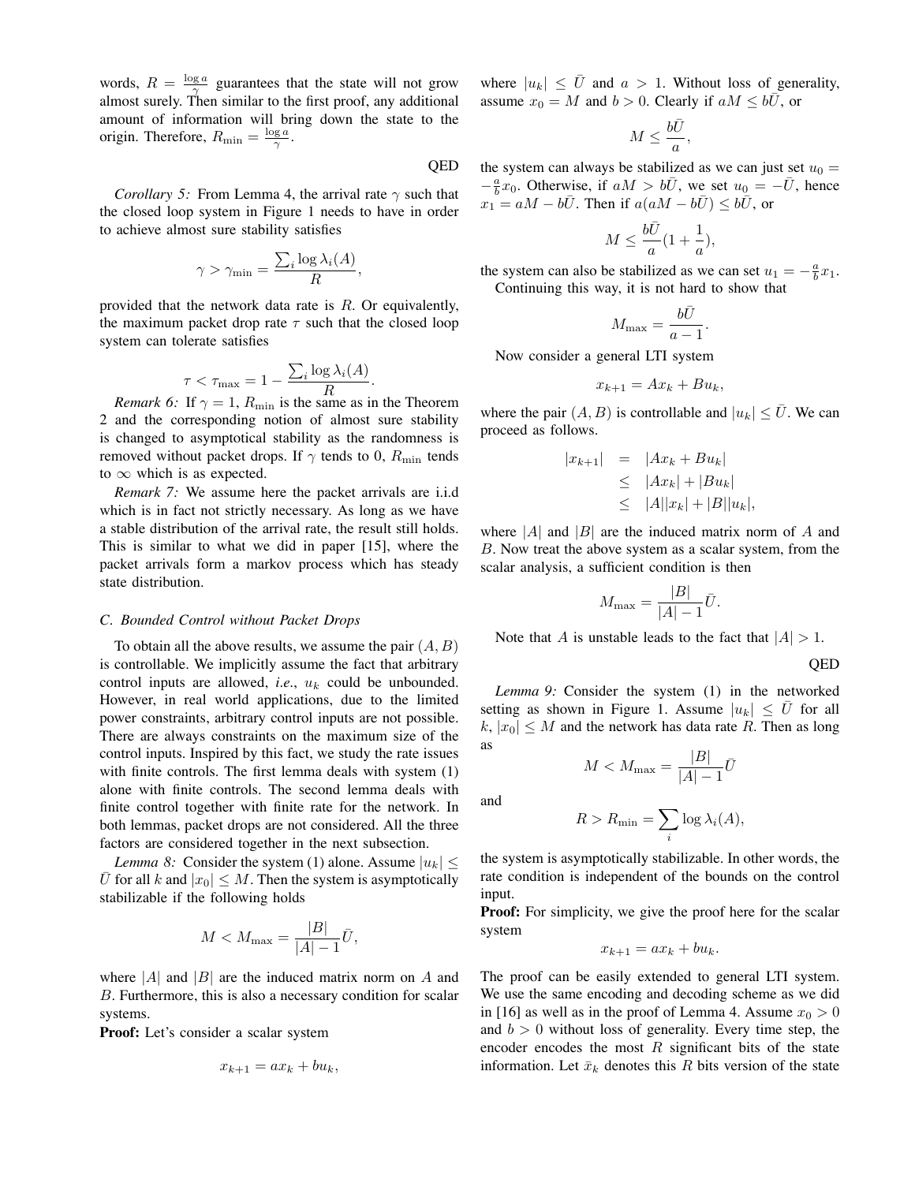words,  $R = \frac{\log a}{\log a}$  guarantees that the state will not grow almost surely. Then similar to the first proof, any additional amount of information will bring down the state to the origin. Therefore,  $R_{\min} = \frac{\log a}{\gamma}$ .

QED

*Corollary 5:* From Lemma 4, the arrival rate  $\gamma$  such that the closed loop system in Figure 1 needs to have in order to achieve almost sure stability satisfies

$$
\gamma > \gamma_{\min} = \frac{\sum_{i} \log \lambda_i(A)}{R},
$$

provided that the network data rate is R. Or equivalently, the maximum packet drop rate  $\tau$  such that the closed loop system can tolerate satisfies

$$
\tau < \tau_{\text{max}} = 1 - \frac{\sum_{i} \log \lambda_i(A)}{R}.
$$

*Remark 6:* If  $\gamma = 1$ ,  $R_{\text{min}}$  is the same as in the Theorem and the corresponding notion of almost sure stability 2 and the corresponding notion of almost sure stability is changed to asymptotical stability as the randomness is removed without packet drops. If  $\gamma$  tends to 0,  $R_{\text{min}}$  tends to  $\infty$  which is as expected.

*Remark 7:* We assume here the packet arrivals are i.i.d which is in fact not strictly necessary. As long as we have a stable distribution of the arrival rate, the result still holds. This is similar to what we did in paper [15], where the packet arrivals form a markov process which has steady state distribution.

#### *C. Bounded Control without Packet Drops*

To obtain all the above results, we assume the pair  $(A, B)$ is controllable. We implicitly assume the fact that arbitrary control inputs are allowed, *i.e.*,  $u_k$  could be unbounded. However, in real world applications, due to the limited power constraints, arbitrary control inputs are not possible. There are always constraints on the maximum size of the control inputs. Inspired by this fact, we study the rate issues with finite controls. The first lemma deals with system (1) alone with finite controls. The second lemma deals with finite control together with finite rate for the network. In both lemmas, packet drops are not considered. All the three factors are considered together in the next subsection.

*Lemma 8:* Consider the system (1) alone. Assume  $|u_k| \leq$ U for all k and  $|x_0| \leq M$ . Then the system is asymptotically stabilizable if the following holds

$$
M < M_{\text{max}} = \frac{|B|}{|A| - 1}\bar{U},
$$

where  $|A|$  and  $|B|$  are the induced matrix norm on A and B. Furthermore, this is also a necessary condition for scalar systems.

**Proof:** Let's consider a scalar system

$$
x_{k+1} = ax_k + bu_k,
$$

where  $|u_k| \leq \bar{U}$  and  $a > 1$ . Without loss of generality, assume  $x_0 = M$  and  $b > 0$ . Clearly if  $aM \le b\overline{U}$ , or

$$
M \leq \frac{bU}{a},
$$

the system can always be stabilized as we can just set  $u_0 =$  $-\frac{a}{b}x_0$ . Otherwise, if  $aM > b\overline{U}$ , we set  $u_0 = -\overline{U}$ , hence  $x_0 = aM - b\overline{U}$ . Then if  $a(aM - b\overline{U}) < b\overline{U}$  or  $x_1 = aM - bU$ . Then if  $a(aM - bU) \leq bU$ , or

$$
M \le \frac{b\bar{U}}{a}(1 + \frac{1}{a}),
$$

the system can also be stabilized as we can set  $u_1 = -\frac{a}{b}x_1$ .<br>Continuing this way, it is not hard to show that Continuing this way, it is not hard to show that

$$
M_{\text{max}} = \frac{b\bar{U}}{a-1}.
$$

Now consider a general LTI system

$$
x_{k+1} = Ax_k + Bu_k,
$$

where the pair  $(A, B)$  is controllable and  $|u_k| \leq \overline{U}$ . We can proceed as follows.

$$
|x_{k+1}| = |Ax_k + Bu_k|
$$
  
\n
$$
\leq |Ax_k| + |Bu_k|
$$
  
\n
$$
\leq |A||x_k| + |B||u_k|,
$$

where  $|A|$  and  $|B|$  are the induced matrix norm of A and B. Now treat the above system as a scalar system, from the scalar analysis, a sufficient condition is then

$$
M_{\text{max}} = \frac{|B|}{|A| - 1}\bar{U}.
$$

Note that A is unstable leads to the fact that  $|A| > 1$ .

QED

*Lemma 9:* Consider the system (1) in the networked setting as shown in Figure 1. Assume  $|u_k| < \bar{U}$  for all  $k, |x_0| \leq M$  and the network has data rate R. Then as long as

 $M < M_{\text{max}} = \frac{|B|}{|A| - 1} \bar{U}$ 

and

$$
R > R_{\min} = \sum_{i} \log \lambda_i(A),
$$

the system is asymptotically stabilizable. In other words, the rate condition is independent of the bounds on the control input.

**Proof:** For simplicity, we give the proof here for the scalar system

$$
x_{k+1} = ax_k + bu_k.
$$

The proof can be easily extended to general LTI system. We use the same encoding and decoding scheme as we did in [16] as well as in the proof of Lemma 4. Assume  $x_0 > 0$ and  $b > 0$  without loss of generality. Every time step, the encoder encodes the most  $R$  significant bits of the state information. Let  $\bar{x}_k$  denotes this R bits version of the state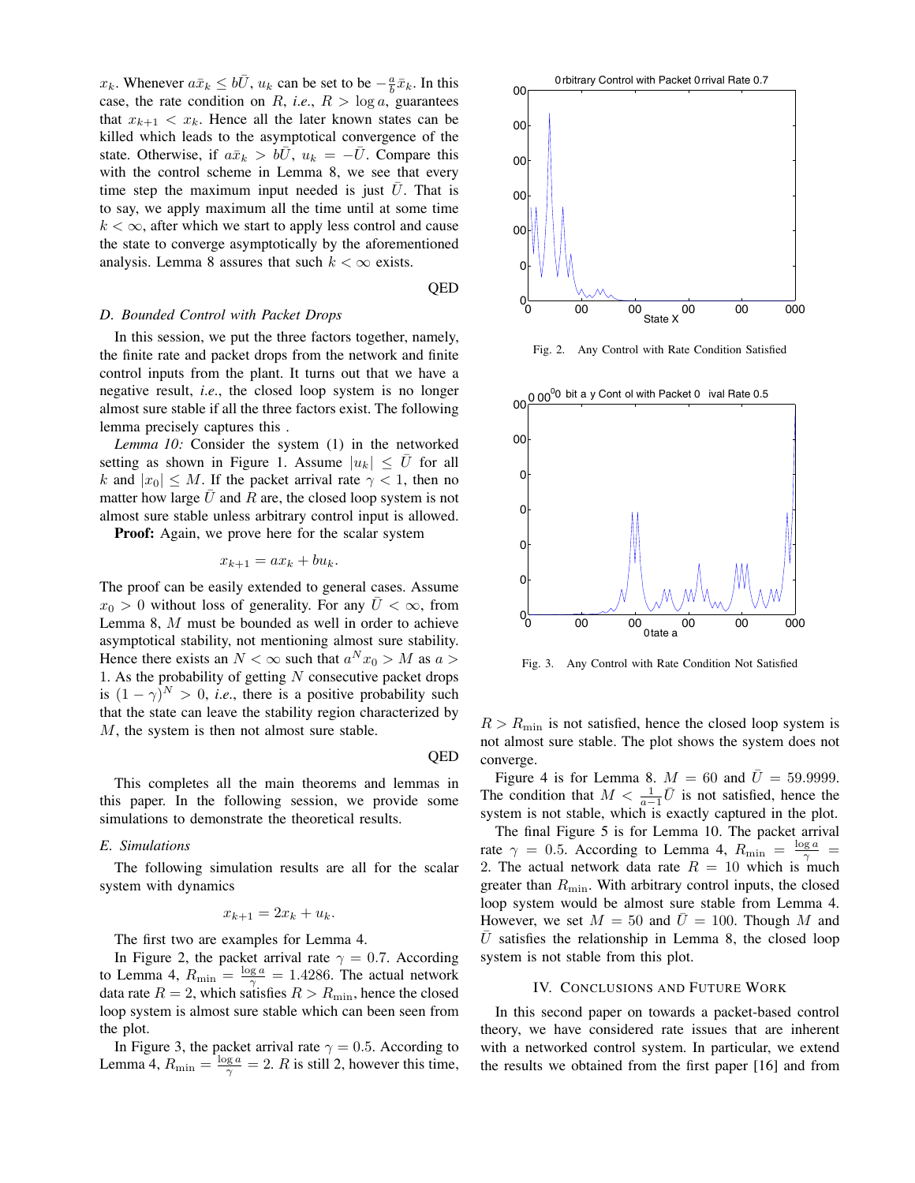$x_k$ . Whenever  $a\bar{x}_k \leq b\bar{U}$ ,  $u_k$  can be set to be  $-\frac{a}{b}\bar{x}_k$ . In this case, the rate condition on R, *i.e.*,  $R > \log a$ , guarantees that  $x_{k+1} < x_k$ . Hence all the later known states can be killed which leads to the asymptotical convergence of the state. Otherwise, if  $a\bar{x}_k > b\bar{U}$ ,  $u_k = -\bar{U}$ . Compare this with the control scheme in Lemma 8, we see that every time step the maximum input needed is just  $\bar{U}$ . That is to say, we apply maximum all the time until at some time  $k < \infty$ , after which we start to apply less control and cause the state to converge asymptotically by the aforementioned analysis. Lemma 8 assures that such  $k < \infty$  exists.

QED

#### *D. Bounded Control with Packet Drops*

In this session, we put the three factors together, namely, the finite rate and packet drops from the network and finite control inputs from the plant. It turns out that we have a negative result, *i.e.*, the closed loop system is no longer almost sure stable if all the three factors exist. The following lemma precisely captures this .

*Lemma 10:* Consider the system (1) in the networked setting as shown in Figure 1. Assume  $|u_k| < U$  for all k and  $|x_0| \leq M$ . If the packet arrival rate  $\gamma < 1$ , then no matter how large  $\bar{U}$  and R are, the closed loop system is not almost sure stable unless arbitrary control input is allowed.

**Proof:** Again, we prove here for the scalar system

$$
x_{k+1} = ax_k + bu_k.
$$

The proof can be easily extended to general cases. Assume  $x_0 > 0$  without loss of generality. For any  $\bar{U} < \infty$ , from Lemma 8, M must be bounded as well in order to achieve asymptotical stability, not mentioning almost sure stability. Hence there exists an  $N < \infty$  such that  $a^N x_0 > M$  as  $a >$ 1. As the probability of getting  $N$  consecutive packet drops is  $(1 - \gamma)^N > 0$ , *i.e.*, there is a positive probability such that the state can leave the stability region characterized by M, the system is then not almost sure stable.

QED

This completes all the main theorems and lemmas in this paper. In the following session, we provide some simulations to demonstrate the theoretical results.

#### *E. Simulations*

The following simulation results are all for the scalar system with dynamics

$$
x_{k+1} = 2x_k + u_k.
$$

The first two are examples for Lemma 4.

In Figure 2, the packet arrival rate  $\gamma = 0.7$ . According to Lemma 4,  $R_{\text{min}} = \frac{\log a}{\gamma} = 1.4286$ . The actual network<br>data rate  $R = 2$  which satisfies  $R \ge R$ . hence the closed data rate  $R = 2$ , which satisfies  $R > R_{\text{min}}$ , hence the closed loop system is almost sure stable which can been seen from the plot.

In Figure 3, the packet arrival rate  $\gamma = 0.5$ . According to Lemma 4,  $R_{\min} = \frac{\log a}{\gamma} = 2$ . R is still 2, however this time,



Fig. 2. Any Control with Rate Condition Satisfied



Fig. 3. Any Control with Rate Condition Not Satisfied

 $R>R_{\text{min}}$  is not satisfied, hence the closed loop system is not almost sure stable. The plot shows the system does not converge.

Figure 4 is for Lemma 8.  $M = 60$  and  $\overline{U} = 59.9999$ . The condition that  $M < \frac{1}{a-1}U$  is not satisfied, hence the system is not stable, which is exactly cantured in the plot system is not stable, which is exactly captured in the plot.

The final Figure 5 is for Lemma 10. The packet arrival rate  $\gamma = 0.5$ . According to Lemma 4,  $R_{\min} = \frac{\log a}{\gamma}$ 2. The actual network data rate  $R = 10$  which is much<br>greater than  $R = W$  with arbitrary control inputs the closed greater than  $R_{\text{min}}$ . With arbitrary control inputs, the closed loop system would be almost sure stable from Lemma 4. However, we set  $M = 50$  and  $\overline{U} = 100$ . Though M and  $\overline{U}$  satisfies the relationship in Lemma 8, the closed loop system is not stable from this plot.

# IV. CONCLUSIONS AND FUTURE WORK

In this second paper on towards a packet-based control theory, we have considered rate issues that are inherent with a networked control system. In particular, we extend the results we obtained from the first paper [16] and from